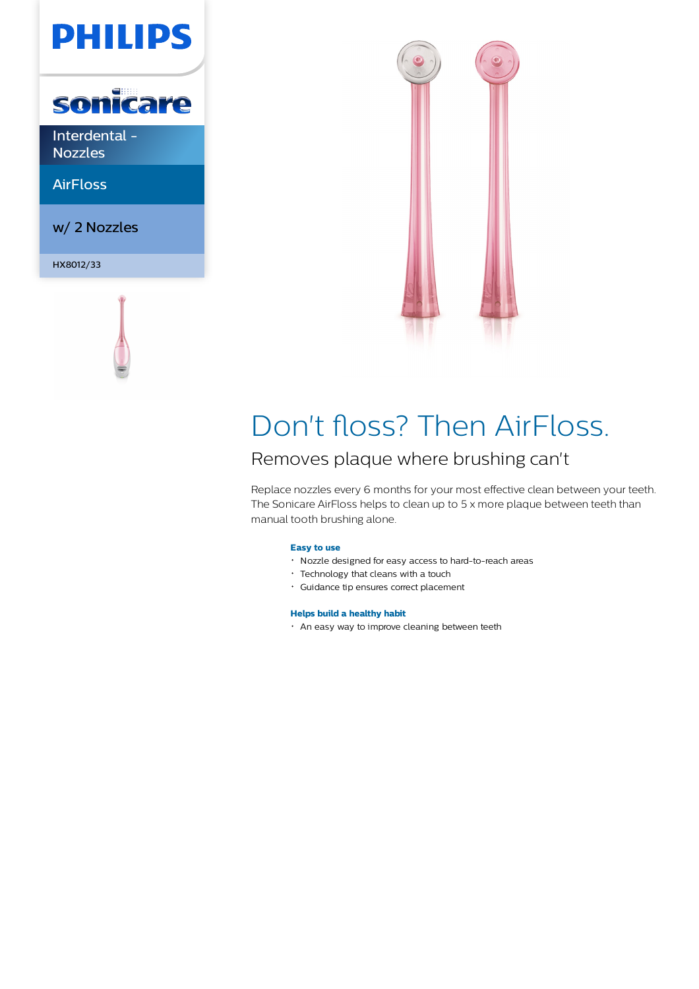# **PHILIPS**



Interdental - Nozzles

AirFloss

w/ 2 Nozzles

HX8012/33





## Don't floss? Then AirFloss.

### Removes plaque where brushing can't

Replace nozzles every 6 months for your most effective clean between your teeth. The Sonicare AirFloss helps to clean up to 5 x more plaque between teeth than manual tooth brushing alone.

### **Easy to use**

- Nozzle designed for easy access to hard-to-reach areas
- Technology that cleans with a touch
- Guidance tip ensures correct placement

#### **Helps build a healthy habit**

An easy way to improve cleaning between teeth